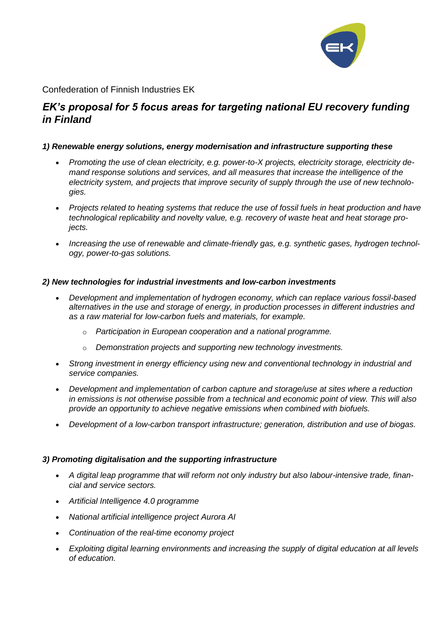

Confederation of Finnish Industries EK

# *EK's proposal for 5 focus areas for targeting national EU recovery funding in Finland*

#### *1) Renewable energy solutions, energy modernisation and infrastructure supporting these*

- *Promoting the use of clean electricity, e.g. power-to-X projects, electricity storage, electricity demand response solutions and services, and all measures that increase the intelligence of the electricity system, and projects that improve security of supply through the use of new technologies.*
- *Projects related to heating systems that reduce the use of fossil fuels in heat production and have technological replicability and novelty value, e.g. recovery of waste heat and heat storage projects.*
- *Increasing the use of renewable and climate-friendly gas, e.g. synthetic gases, hydrogen technology, power-to-gas solutions.*

## *2) New technologies for industrial investments and low-carbon investments*

- *Development and implementation of hydrogen economy, which can replace various fossil-based alternatives in the use and storage of energy, in production processes in different industries and as a raw material for low-carbon fuels and materials, for example.*
	- o *Participation in European cooperation and a national programme.*
	- o *Demonstration projects and supporting new technology investments.*
- *Strong investment in energy efficiency using new and conventional technology in industrial and service companies.*
- *Development and implementation of carbon capture and storage/use at sites where a reduction in emissions is not otherwise possible from a technical and economic point of view. This will also provide an opportunity to achieve negative emissions when combined with biofuels.*
- *Development of a low-carbon transport infrastructure; generation, distribution and use of biogas.*

#### *3) Promoting digitalisation and the supporting infrastructure*

- *A digital leap programme that will reform not only industry but also labour-intensive trade, financial and service sectors.*
- *Artificial Intelligence 4.0 programme*
- *National artificial intelligence project Aurora AI*
- *Continuation of the real-time economy project*
- *Exploiting digital learning environments and increasing the supply of digital education at all levels of education.*